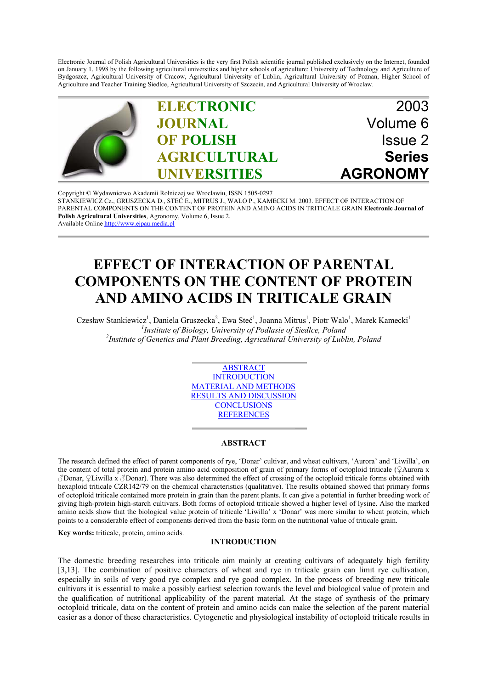Electronic Journal of Polish Agricultural Universities is the very first Polish scientific journal published exclusively on the Internet, founded on January 1, 1998 by the following agricultural universities and higher schools of agriculture: University of Technology and Agriculture of Bydgoszcz, Agricultural University of Cracow, Agricultural University of Lublin, Agricultural University of Poznan, Higher School of Agriculture and Teacher Training Siedlce, Agricultural University of Szczecin, and Agricultural University of Wroclaw.



Copyright © Wydawnictwo Akademii Rolniczej we Wroclawiu, ISSN 1505-0297 STANKIEWICZ Cz., GRUSZECKA D., STEĆ E., MITRUS J., WALO P., KAMECKI M. 2003. EFFECT OF INTERACTION OF [PARENTAL COMPONENTS ON THE CONTENT OF PROTEIN AND AMINO ACIDS IN TRITICALE GRAIN](http://www.ejpau.media.pl) **Electronic Journal of Polish Agricultural Universities**, Agronomy, Volume 6, Issue 2. Available Online http://www.ejpau.media.pl

# **EFFECT OF INTERACTION OF PARENTAL COMPONENTS ON THE CONTENT OF PROTEIN AND AMINO ACIDS IN TRITICALE GRAIN**

Czesław Stankiewicz<sup>1</sup>, Daniela Gruszecka<sup>2</sup>, Ewa Steć<sup>1</sup>, Joanna Mitrus<sup>1</sup>, Piotr Walo<sup>1</sup>, Marek Kamecki<sup>1</sup> *1 Institute of Biology, University of Podlasie of Siedlce, Poland <sup>2</sup> Institute of Genetics and Plant Breeding, Agricultural University of Lublin, Poland*



#### **ABSTRACT**

The research defined the effect of parent components of rye, 'Donar' cultivar, and wheat cultivars, 'Aurora' and 'Liwilla', on the content of total protein and protein amino acid composition of grain of primary forms of octoploid triticale (♀Aurora x ♂Donar, ♀Liwilla x ♂Donar). There was also determined the effect of crossing of the octoploid triticale forms obtained with hexaploid triticale CZR142/79 on the chemical characteristics (qualitative). The results obtained showed that primary forms of octoploid triticale contained more protein in grain than the parent plants. It can give a potential in further breeding work of giving high-protein high-starch cultivars. Both forms of octoploid triticale showed a higher level of lysine. Also the marked amino acids show that the biological value protein of triticale 'Liwilla' x 'Donar' was more similar to wheat protein, which points to a considerable effect of components derived from the basic form on the nutritional value of triticale grain.

**Key words:** triticale, protein, amino acids.

## **INTRODUCTION**

The domestic breeding researches into triticale aim mainly at creating cultivars of adequately high fertility [3,13]. The combination of positive characters of wheat and rye in triticale grain can limit rye cultivation, especially in soils of very good rye complex and rye good complex. In the process of breeding new triticale cultivars it is essential to make a possibly earliest selection towards the level and biological value of protein and the qualification of nutritional applicability of the parent material. At the stage of synthesis of the primary octoploid triticale, data on the content of protein and amino acids can make the selection of the parent material easier as a donor of these characteristics. Cytogenetic and physiological instability of octoploid triticale results in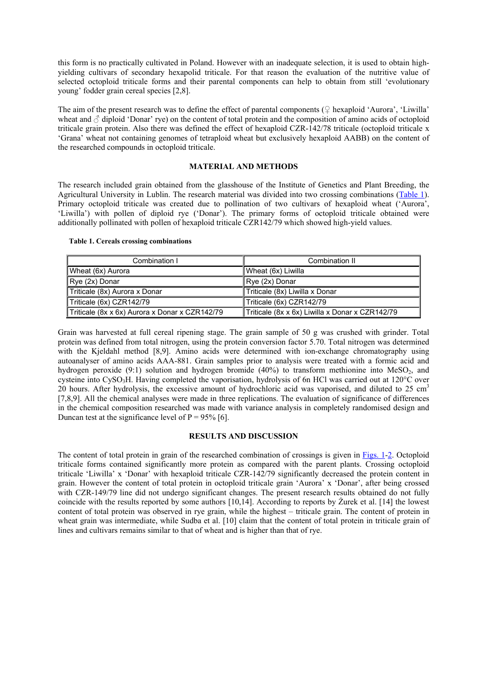this form is no practically cultivated in Poland. However with an inadequate selection, it is used to obtain highyielding cultivars of secondary hexapolid triticale. For that reason the evaluation of the nutritive value of selected octoploid triticale forms and their parental components can help to obtain from still 'evolutionary young' fodder grain cereal species [2,8].

The aim of the present research was to define the effect of parental components ( $\mathcal{Q}$  hexaploid 'Aurora', 'Liwilla' wheat and  $\beta$  diploid 'Donar' rye) on the content of total protein and the composition of amino acids of octoploid triticale grain protein. Also there was defined the effect of hexaploid CZR-142/78 triticale (octoploid triticale x 'Grana' wheat not containing genomes of tetraploid wheat but exclusively hexaploid AABB) on the content of the researched compounds in octoploid triticale.

## **MATERIAL AND METHODS**

The research included grain obtained from the glasshouse of the Institute of Genetics and Plant Breeding, the Agricultural University in Lublin. The research material was divided into two crossing combinations (Table 1). Primary octoploid triticale was created due to pollination of two cultivars of hexaploid wheat ('Aurora', 'Liwilla') with pollen of diploid rye ('Donar'). The primary forms of octoploid triticale obtained were additionally pollinated with pollen of hexaploid triticale CZR142/79 which showed high-yield values.

**Table 1. Cereals crossing combinations**

| Combination I                                  | Combination II                                  |  |
|------------------------------------------------|-------------------------------------------------|--|
| Wheat (6x) Aurora                              | Wheat (6x) Liwilla                              |  |
| $\vert$ Rye (2x) Donar                         | Rye (2x) Donar                                  |  |
| Triticale (8x) Aurora x Donar                  | Triticale (8x) Liwilla x Donar                  |  |
| Triticale (6x) CZR142/79                       | Triticale (6x) CZR142/79                        |  |
| Triticale (8x x 6x) Aurora x Donar x CZR142/79 | Triticale (8x x 6x) Liwilla x Donar x CZR142/79 |  |

Grain was harvested at full cereal ripening stage. The grain sample of 50 g was crushed with grinder. Total protein was defined from total nitrogen, using the protein conversion factor 5.70. Total nitrogen was determined with the Kjeldahl method [8,9]. Amino acids were determined with ion-exchange chromatography using autoanalyser of amino acids AAA-881. Grain samples prior to analysis were treated with a formic acid and hydrogen peroxide (9:1) solution and hydrogen bromide (40%) to transform methionine into MeSO<sub>2</sub>, and cysteine into CySO<sub>3</sub>H. Having completed the vaporisation, hydrolysis of 6n HCl was carried out at 120°C over 20 hours. After hydrolysis, the excessive amount of hydrochloric acid was vaporised, and diluted to 25 cm<sup>3</sup> [7,8,9]. All the chemical analyses were made in three replications. The evaluation of significance of differences in the chemical composition researched was made with variance analysis in completely randomised design and Duncan test at the significance level of  $P = 95\%$  [6].

## **RESULTS AND DISCUSSION**

The content of total protein in grain of the researched combination of crossings is given in Figs. 1-2. Octoploid triticale forms contained significantly more protein as compared with the parent plants. Crossing octoploid triticale 'Liwilla' x 'Donar' with hexaploid triticale CZR-142/79 significantly decreased the protein content in grain. However the content of total protein in octoploid triticale grain 'Aurora' x 'Donar', after being crossed with CZR-149/79 line did not undergo significant changes. The present research results obtained do not fully coincide with the results reported by some authors [10,14]. According to reports by Żurek et al. [14] the lowest content of total protein was observed in rye grain, while the highest – triticale grain. The content of protein in wheat grain was intermediate, while Sudba et al. [10] claim that the content of total protein in triticale grain of lines and cultivars remains similar to that of wheat and is higher than that of rye.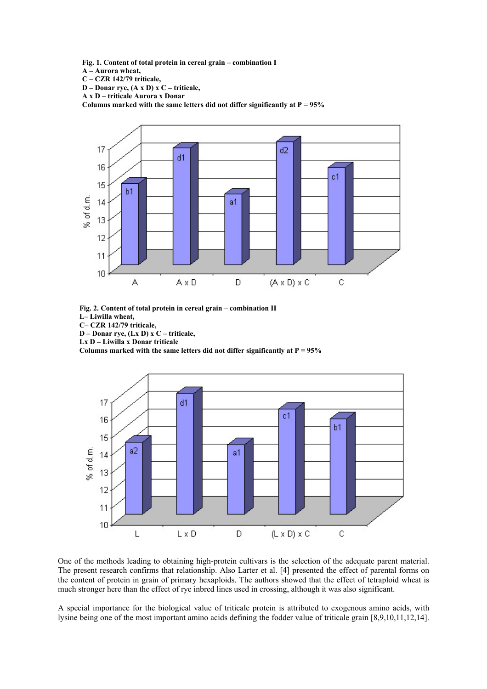**Fig. 1. Content of total protein in cereal grain – combination I**

**A – Aurora wheat,**

**C – CZR 142/79 triticale,**

**D – Donar rye, (A x D) x C – triticale,**

**A x D – triticale Aurora x Donar**

**Columns marked with the same letters did not differ significantly at P = 95%**



**Fig. 2. Content of total protein in cereal grain – combination II L– Liwilla wheat,**

**C– CZR 142/79 triticale,**

**D – Donar rye, (Lx D) x C – triticale,**

**Lx D – Liwilla x Donar triticale**

Columns marked with the same letters did not differ significantly at  $P = 95\%$ 



One of the methods leading to obtaining high-protein cultivars is the selection of the adequate parent material. The present research confirms that relationship. Also Larter et al. [4] presented the effect of parental forms on the content of protein in grain of primary hexaploids. The authors showed that the effect of tetraploid wheat is much stronger here than the effect of rye inbred lines used in crossing, although it was also significant.

A special importance for the biological value of triticale protein is attributed to exogenous amino acids, with lysine being one of the most important amino acids defining the fodder value of triticale grain [8,9,10,11,12,14].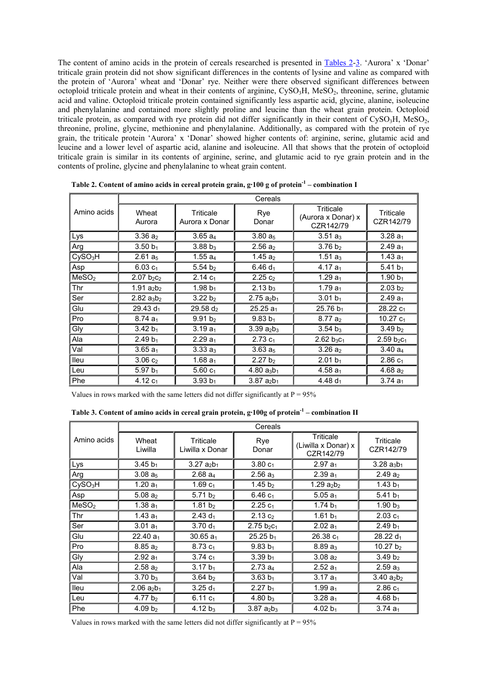The content of amino acids in the protein of cereals researched is presented in Tables 2-3. 'Aurora' x 'Donar' triticale grain protein did not show significant differences in the contents of lysine and valine as compared with the protein of 'Aurora' wheat and 'Donar' rye. Neither were there observed significant differences between octoploid triticale protein and wheat in their contents of arginine, CySO<sub>3</sub>H, MeSO<sub>2</sub>, threonine, serine, glutamic acid and valine. Octoploid triticale protein contained significantly less aspartic acid, glycine, alanine, isoleucine and phenylalanine and contained more slightly proline and leucine than the wheat grain protein. Octoploid triticale protein, as compared with rye protein did not differ significantly in their content of  $CySO<sub>3</sub>H$ , MeSO<sub>2</sub>, threonine, proline, glycine, methionine and phenylalanine. Additionally, as compared with the protein of rye grain, the triticale protein 'Aurora' x 'Donar' showed higher contents of: arginine, serine, glutamic acid and leucine and a lower level of aspartic acid, alanine and isoleucine. All that shows that the protein of octoploid triticale grain is similar in its contents of arginine, serine, and glutamic acid to rye grain protein and in the contents of proline, glycine and phenylalanine to wheat grain content.

|                     | Cereals              |                             |                                      |                                              |                        |  |
|---------------------|----------------------|-----------------------------|--------------------------------------|----------------------------------------------|------------------------|--|
| Amino acids         | Wheat<br>Aurora      | Triticale<br>Aurora x Donar | Rye<br>Donar                         | Triticale<br>(Aurora x Donar) x<br>CZR142/79 | Triticale<br>CZR142/79 |  |
| Lys                 | $3.36a_{2}$          | $3.65 a_4$                  | 3.80 $a_5$                           | $3.51a_3$                                    | 3.28 $a_1$             |  |
| Arg                 | $3.50 b_1$           | $3.88 b_3$                  | $2.56a_2$                            | $3.76 b_2$                                   | $2.49 a_1$             |  |
| CySO <sub>3</sub> H | $2.61a_5$            | $1.55a_4$                   | 1.45 $a_2$                           | 1.51 $a_3$                                   | 1.43 $a_1$             |  |
| Asp                 | $6.03 c_1$           | 5.54 $b2$                   | $6.46 d_1$                           | 4.17 $a_1$                                   | 5.41 $b_1$             |  |
| MeSO <sub>2</sub>   | $2.07 b_2c_2$        | $2.14c_1$                   | $2.25c_2$                            | 1.29 $a_1$                                   | 1.90 $b_1$             |  |
| Thr                 | 1.91 $a_2b_2$        | 1.98 $b_1$                  | $2.13 b_3$                           | 1.79 $a_1$                                   | 2.03 b <sub>2</sub>    |  |
| Ser                 | $2.82$ $a_3b_2$      | $3.22 b_2$                  | 2.75 $a_2b_1$                        | $3.01 b_1$                                   | $2.49 a_1$             |  |
| Glu                 | 29.43 d <sub>1</sub> | $29.58 d_2$                 | $25.25 a_1$                          | $25.76 b_1$                                  | 28.22 c <sub>1</sub>   |  |
| Pro                 | $8.74a_1$            | 9.91 b <sub>2</sub>         | $9.83 b_1$                           | $8.77a_2$                                    | 10.27 $c_1$            |  |
| Gly                 | $3.42 b_1$           | $3.19 a_1$                  | $3.39 a_2b_3$                        | 3.54 $b_3$                                   | 3.49 b <sub>2</sub>    |  |
| Ala                 | $2.49 b_1$           | $2.29a_1$                   | $2.73c_1$                            | $2.62 b_3c_1$                                | $2.59 b_2c_1$          |  |
| Val                 | $3.65 a_1$           | 3.33 $a_3$                  | 3.63 $a_5$                           | $3.26a_2$                                    | $3.40 a_4$             |  |
| lleu                | $3.06c_2$            | 1.68 $a_1$                  | 2.27 b <sub>2</sub>                  | $2.01 b_1$                                   | $2.86c_1$              |  |
| Leu                 | 5.97 $b_1$           | 5.60 $c_1$                  | 4.80 $a_3b_1$                        | $4.58a_1$                                    | 4.68 $a_2$             |  |
| Phe                 | 4.12 $c_1$           | $3.93 b_1$                  | $3.87$ a <sub>2</sub> b <sub>1</sub> | 4.48 $d_1$                                   | $3.74a_1$              |  |

**Table 2. Content of amino acids in cereal protein grain, g·100 g of protein-1 – combination I**

Values in rows marked with the same letters did not differ significantly at  $P = 95\%$ 

**Table 3. Content of amino acids in cereal grain protein, g·100g of protein-1 – combination II**

|                     | Cereals                              |                              |                     |                                               |                        |  |
|---------------------|--------------------------------------|------------------------------|---------------------|-----------------------------------------------|------------------------|--|
| Amino acids         | Wheat<br>Liwilla                     | Triticale<br>Liwilla x Donar | Rye<br>Donar        | Triticale<br>(Liwilla x Donar) x<br>CZR142/79 | Triticale<br>CZR142/79 |  |
| Lys                 | $3.45 b_1$                           | 3.27 $a_2b_1$                | $3.80c_1$           | $2.97 a_1$                                    | $3.28$ $a_3b_1$        |  |
| Arg                 | $3.08 a_5$                           | 2.68 a <sub>4</sub>          | 2.56 $a_3$          | $2.39 a_1$                                    | $2.49a_2$              |  |
| CySO <sub>3</sub> H | 1.20 $a_1$                           | 1.69 $c1$                    | 1.45 $b_2$          | 1.29 $a_2b_2$                                 | 1.43 $b_1$             |  |
| Asp                 | 5.08 $a_2$                           | 5.71 $b_2$                   | $6.46c_1$           | 5.05 $a_1$                                    | 5.41 $b_1$             |  |
| MeSO <sub>2</sub>   | 1.38 $a_1$                           | 1.81 $b2$                    | $2.25c_1$           | 1.74 $b_1$                                    | 1.90 $b_3$             |  |
| Thr                 | 1.43 $a_1$                           | 2.43 $d_1$                   | 2.13 c <sub>2</sub> | 1.61 $b_1$                                    | $2.03c_1$              |  |
| Ser                 | $3.01 a_1$                           | $3.70 d_1$                   | $2.75 b_2c_1$       | $2.02 a_1$                                    | $2.49 b_1$             |  |
| Glu                 | 22.40 $a_1$                          | $30.65 a_1$                  | $25.25 b_1$         | 26.38 C <sub>1</sub>                          | $28.22 d_1$            |  |
| Pro                 | $8.85a_2$                            | $8.73c_1$                    | $9.83 b_1$          | $8.89a_3$                                     | 10.27 $b_2$            |  |
| Gly                 | $2.92 a_1$                           | 3.74 $c_1$                   | $3.39 b_1$          | $3.08 a_2$                                    | 3.49 $b_2$             |  |
| Ala                 | $2.58a_2$                            | $3.17 b_1$                   | 2.73a <sub>4</sub>  | $2.52 a_1$                                    | $2.59a_3$              |  |
| Val                 | 3.70 $b_3$                           | 3.64 b <sub>2</sub>          | $3.63 b_1$          | $3.17 a_1$                                    | $3.40 a_2b_2$          |  |
| <b>Ileu</b>         | $2.06$ a <sub>2</sub> b <sub>1</sub> | $3.25 d_1$                   | $2.27 b_1$          | 1.99 $a_1$                                    | $2.86c_1$              |  |
| Leu                 | 4.77 $b_2$                           | 6.11 $c_1$                   | 4.80 $b_3$          | $3.28a_1$                                     | 4.68 $b_1$             |  |
| Phe                 | 4.09 $b2$                            | 4.12 $b_3$                   | $3.87$ $a_2b_3$     | 4.02 $b_1$                                    | 3.74 $a_1$             |  |

Values in rows marked with the same letters did not differ significantly at  $P = 95\%$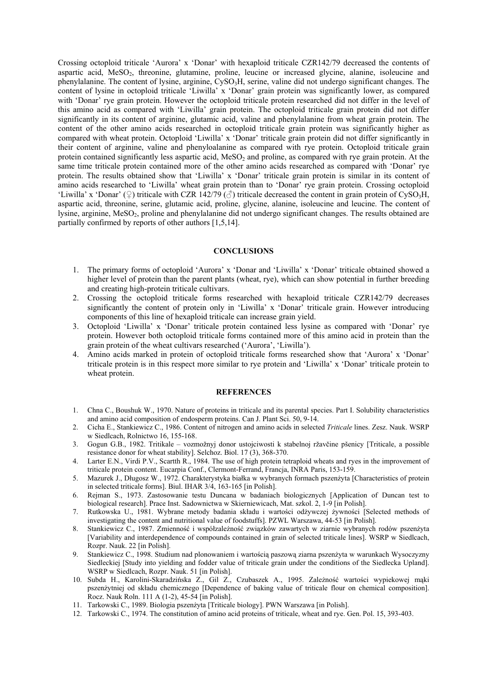Crossing octoploid triticale 'Aurora' x 'Donar' with hexaploid triticale CZR142/79 decreased the contents of aspartic acid, MeSO<sub>2</sub>, threonine, glutamine, proline, leucine or increased glycine, alanine, isoleucine and phenylalanine. The content of lysine, arginine, CySO<sub>3</sub>H, serine, valine did not undergo significant changes. The content of lysine in octoploid triticale 'Liwilla' x 'Donar' grain protein was significantly lower, as compared with 'Donar' rye grain protein. However the octoploid triticale protein researched did not differ in the level of this amino acid as compared with 'Liwilla' grain protein. The octoploid triticale grain protein did not differ significantly in its content of arginine, glutamic acid, valine and phenylalanine from wheat grain protein. The content of the other amino acids researched in octoploid triticale grain protein was significantly higher as compared with wheat protein. Octoploid 'Liwilla' x 'Donar' triticale grain protein did not differ significantly in their content of arginine, valine and phenyloalanine as compared with rye protein. Octoploid triticale grain protein contained significantly less aspartic acid, MeSO<sub>2</sub> and proline, as compared with rye grain protein. At the same time triticale protein contained more of the other amino acids researched as compared with 'Donar' rye protein. The results obtained show that 'Liwilla' x 'Donar' triticale grain protein is similar in its content of amino acids researched to 'Liwilla' wheat grain protein than to 'Donar' rye grain protein. Crossing octoploid 'Liwilla' x 'Donar' (♀) triticale with CZR 142/79 (♂) triticale decreased the content in grain protein of CySO3H. aspartic acid, threonine, serine, glutamic acid, proline, glycine, alanine, isoleucine and leucine. The content of lysine, arginine, MeSO<sub>2</sub>, proline and phenylalanine did not undergo significant changes. The results obtained are partially confirmed by reports of other authors [1,5,14].

#### **CONCLUSIONS**

- 1. The primary forms of octoploid 'Aurora' x 'Donar and 'Liwilla' x 'Donar' triticale obtained showed a higher level of protein than the parent plants (wheat, rye), which can show potential in further breeding and creating high-protein triticale cultivars.
- 2. Crossing the octoploid triticale forms researched with hexaploid triticale CZR142/79 decreases significantly the content of protein only in 'Liwilla' x 'Donar' triticale grain. However introducing components of this line of hexaploid triticale can increase grain yield.
- 3. Octoploid 'Liwilla' x 'Donar' triticale protein contained less lysine as compared with 'Donar' rye protein. However both octoploid triticale forms contained more of this amino acid in protein than the grain protein of the wheat cultivars researched ('Aurora', 'Liwilla').
- 4. Amino acids marked in protein of octoploid triticale forms researched show that 'Aurora' x 'Donar' triticale protein is in this respect more similar to rye protein and 'Liwilla' x 'Donar' triticale protein to wheat protein.

#### **REFERENCES**

- 1. Chna C., Boushuk W., 1970. Nature of proteins in triticale and its parental species. Part I. Solubility characteristics and amino acid composition of endosperm proteins. Can J. Plant Sci. 50, 9-14.
- 2. Cicha E., Stankiewicz C., 1986. Content of nitrogen and amino acids in selected *Triticale* lines. Zesz. Nauk. WSRP w Siedlcach, Rolnictwo 16, 155-168.
- 3. Gogun G.B., 1982. Tritikale vozmožnyj donor ustojciwosti k stabelnoj ržavčine pšenicy [Triticale, a possible resistance donor for wheat stability]. Selchoz. Biol. 17 (3), 368-370.
- 4. Larter E.N., Virdi P.V., Scartth R., 1984. The use of high protein tetraploid wheats and ryes in the improvement of triticale protein content. Eucarpia Conf., Clermont-Ferrand, Francja, INRA Paris, 153-159.
- 5. Mazurek J., Długosz W., 1972. Charakterystyka białka w wybranych formach pszenżyta [Characteristics of protein in selected triticale forms]. Biul. IHAR 3/4, 163-165 [in Polish].
- 6. Rejman S., 1973. Zastosowanie testu Duncana w badaniach biologicznych [Application of Duncan test to biological research]. Prace Inst. Sadownictwa w Skierniewicach, Mat. szkol. 2, 1-9 [in Polish].
- 7. Rutkowska U., 1981. Wybrane metody badania składu i wartości odżywczej żywności [Selected methods of investigating the content and nutritional value of foodstuffs]. PZWL Warszawa, 44-53 [in Polish].
- 8. Stankiewicz C., 1987. Zmienność i współzależność związków zawartych w ziarnie wybranych rodów pszenżyta [Variability and interdependence of compounds contained in grain of selected triticale lines]. WSRP w Siedlcach, Rozpr. Nauk. 22 [in Polish].
- 9. Stankiewicz C., 1998. Studium nad plonowaniem i wartością paszową ziarna pszenżyta w warunkach Wysoczyzny Siedleckiej [Study into yielding and fodder value of triticale grain under the conditions of the Siedlecka Upland]. WSRP w Siedlcach, Rozpr. Nauk. 51 [in Polish].
- 10. Subda H., Karolini-Skaradzińska Z., Gil Z., Czubaszek A., 1995. Zależność wartości wypiekowej mąki pszenżytniej od składu chemicznego [Dependence of baking value of triticale flour on chemical composition]. Rocz. Nauk Roln. 111 A (1-2), 45-54 [in Polish].
- 11. Tarkowski C., 1989. Biologia pszenżyta [Triticale biology]. PWN Warszawa [in Polish].
- 12. Tarkowski C., 1974. The constitution of amino acid proteins of triticale, wheat and rye. Gen. Pol. 15, 393-403.